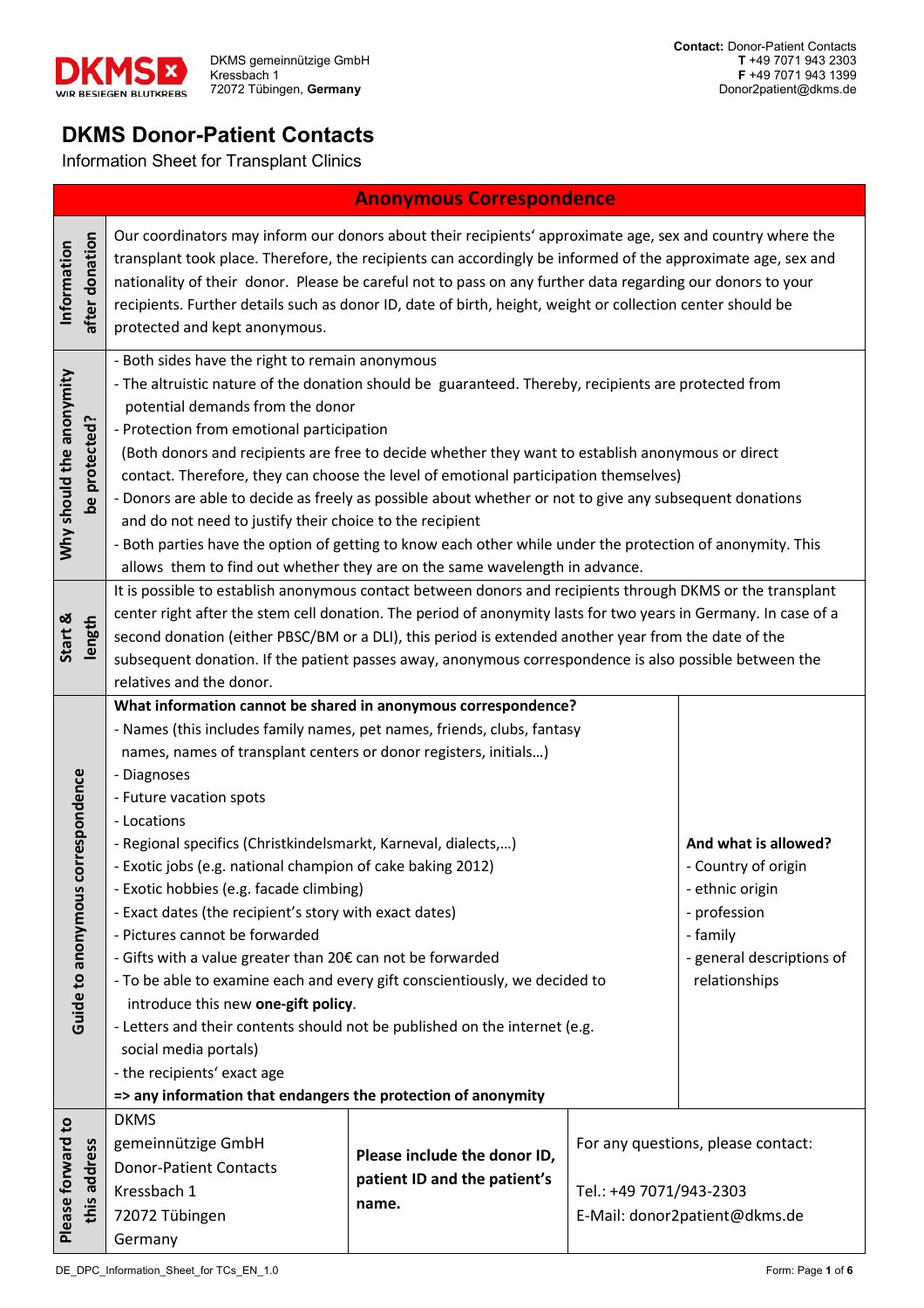

# **DKMS Donor-Patient Contacts**

Information Sheet for Transplant Clinics

## **Anonymous Correspondence**

| after donation<br>Information             | Our coordinators may inform our donors about their recipients' approximate age, sex and country where the<br>transplant took place. Therefore, the recipients can accordingly be informed of the approximate age, sex and<br>nationality of their donor. Please be careful not to pass on any further data regarding our donors to your<br>recipients. Further details such as donor ID, date of birth, height, weight or collection center should be<br>protected and kept anonymous.                                                                                                                                                                                                                                                                                                                                                                                                                                                                                                                                                                                                                          |                                                                       |                         |                                                                     |  |  |  |  |
|-------------------------------------------|-----------------------------------------------------------------------------------------------------------------------------------------------------------------------------------------------------------------------------------------------------------------------------------------------------------------------------------------------------------------------------------------------------------------------------------------------------------------------------------------------------------------------------------------------------------------------------------------------------------------------------------------------------------------------------------------------------------------------------------------------------------------------------------------------------------------------------------------------------------------------------------------------------------------------------------------------------------------------------------------------------------------------------------------------------------------------------------------------------------------|-----------------------------------------------------------------------|-------------------------|---------------------------------------------------------------------|--|--|--|--|
| Why should the anonymity<br>be protected? | - Both sides have the right to remain anonymous<br>- The altruistic nature of the donation should be guaranteed. Thereby, recipients are protected from<br>potential demands from the donor<br>- Protection from emotional participation<br>(Both donors and recipients are free to decide whether they want to establish anonymous or direct<br>contact. Therefore, they can choose the level of emotional participation themselves)<br>- Donors are able to decide as freely as possible about whether or not to give any subsequent donations<br>and do not need to justify their choice to the recipient<br>- Both parties have the option of getting to know each other while under the protection of anonymity. This<br>allows them to find out whether they are on the same wavelength in advance.                                                                                                                                                                                                                                                                                                       |                                                                       |                         |                                                                     |  |  |  |  |
| Start &<br>length                         | It is possible to establish anonymous contact between donors and recipients through DKMS or the transplant<br>center right after the stem cell donation. The period of anonymity lasts for two years in Germany. In case of a<br>second donation (either PBSC/BM or a DLI), this period is extended another year from the date of the<br>subsequent donation. If the patient passes away, anonymous correspondence is also possible between the                                                                                                                                                                                                                                                                                                                                                                                                                                                                                                                                                                                                                                                                 |                                                                       |                         |                                                                     |  |  |  |  |
| Guide to anonymous correspondence         | relatives and the donor.<br>What information cannot be shared in anonymous correspondence?<br>- Names (this includes family names, pet names, friends, clubs, fantasy<br>names, names of transplant centers or donor registers, initials)<br>- Diagnoses<br>- Future vacation spots<br>- Locations<br>- Regional specifics (Christkindelsmarkt, Karneval, dialects,)<br>And what is allowed?<br>- Exotic jobs (e.g. national champion of cake baking 2012)<br>- Country of origin<br>- Exotic hobbies (e.g. facade climbing)<br>- ethnic origin<br>- Exact dates (the recipient's story with exact dates)<br>- profession<br>- Pictures cannot be forwarded<br>- family<br>- Gifts with a value greater than 20€ can not be forwarded<br>- general descriptions of<br>- To be able to examine each and every gift conscientiously, we decided to<br>relationships<br>introduce this new one-gift policy.<br>- Letters and their contents should not be published on the internet (e.g.<br>social media portals)<br>- the recipients' exact age<br>=> any information that endangers the protection of anonymity |                                                                       |                         |                                                                     |  |  |  |  |
| Please forward to<br>this address         | <b>DKMS</b><br>gemeinnützige GmbH<br><b>Donor-Patient Contacts</b><br>Kressbach 1<br>72072 Tübingen<br>Germany                                                                                                                                                                                                                                                                                                                                                                                                                                                                                                                                                                                                                                                                                                                                                                                                                                                                                                                                                                                                  | Please include the donor ID,<br>patient ID and the patient's<br>name. | Tel.: +49 7071/943-2303 | For any questions, please contact:<br>E-Mail: donor2patient@dkms.de |  |  |  |  |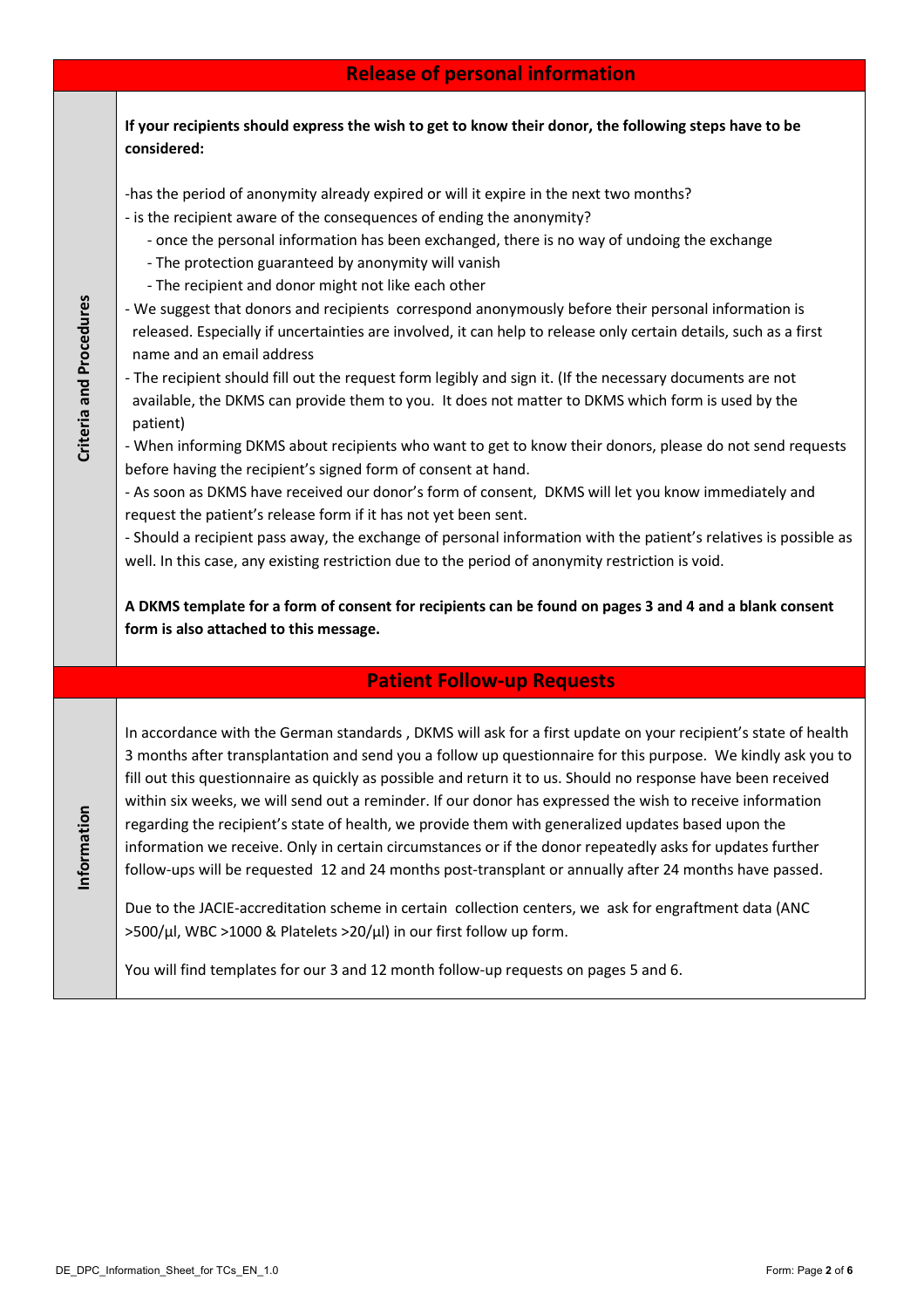|                         | <b>Release of personal information</b>                                                                                                                                                                                                                                                                                                                                                                                                                                                                                                                                                                                                                                                                                                                                                                                                                                                                                                                                                                                                                                                                                                                                                                                                                                                                                                                                                                                                                                                                                                                       |  |  |  |  |
|-------------------------|--------------------------------------------------------------------------------------------------------------------------------------------------------------------------------------------------------------------------------------------------------------------------------------------------------------------------------------------------------------------------------------------------------------------------------------------------------------------------------------------------------------------------------------------------------------------------------------------------------------------------------------------------------------------------------------------------------------------------------------------------------------------------------------------------------------------------------------------------------------------------------------------------------------------------------------------------------------------------------------------------------------------------------------------------------------------------------------------------------------------------------------------------------------------------------------------------------------------------------------------------------------------------------------------------------------------------------------------------------------------------------------------------------------------------------------------------------------------------------------------------------------------------------------------------------------|--|--|--|--|
|                         | If your recipients should express the wish to get to know their donor, the following steps have to be<br>considered:                                                                                                                                                                                                                                                                                                                                                                                                                                                                                                                                                                                                                                                                                                                                                                                                                                                                                                                                                                                                                                                                                                                                                                                                                                                                                                                                                                                                                                         |  |  |  |  |
| Criteria and Procedures | -has the period of anonymity already expired or will it expire in the next two months?<br>- is the recipient aware of the consequences of ending the anonymity?<br>- once the personal information has been exchanged, there is no way of undoing the exchange<br>- The protection guaranteed by anonymity will vanish<br>- The recipient and donor might not like each other<br>- We suggest that donors and recipients correspond anonymously before their personal information is<br>released. Especially if uncertainties are involved, it can help to release only certain details, such as a first<br>name and an email address<br>- The recipient should fill out the request form legibly and sign it. (If the necessary documents are not<br>available, the DKMS can provide them to you. It does not matter to DKMS which form is used by the<br>patient)<br>- When informing DKMS about recipients who want to get to know their donors, please do not send requests<br>before having the recipient's signed form of consent at hand.<br>- As soon as DKMS have received our donor's form of consent, DKMS will let you know immediately and<br>request the patient's release form if it has not yet been sent.<br>- Should a recipient pass away, the exchange of personal information with the patient's relatives is possible as<br>well. In this case, any existing restriction due to the period of anonymity restriction is void.<br>A DKMS template for a form of consent for recipients can be found on pages 3 and 4 and a blank consent |  |  |  |  |
|                         | form is also attached to this message.                                                                                                                                                                                                                                                                                                                                                                                                                                                                                                                                                                                                                                                                                                                                                                                                                                                                                                                                                                                                                                                                                                                                                                                                                                                                                                                                                                                                                                                                                                                       |  |  |  |  |
|                         | <b>Patient Follow-up Requests</b>                                                                                                                                                                                                                                                                                                                                                                                                                                                                                                                                                                                                                                                                                                                                                                                                                                                                                                                                                                                                                                                                                                                                                                                                                                                                                                                                                                                                                                                                                                                            |  |  |  |  |
| Information             | In accordance with the German standards, DKMS will ask for a first update on your recipient's state of health<br>3 months after transplantation and send you a follow up questionnaire for this purpose. We kindly ask you to<br>fill out this questionnaire as quickly as possible and return it to us. Should no response have been received<br>within six weeks, we will send out a reminder. If our donor has expressed the wish to receive information<br>regarding the recipient's state of health, we provide them with generalized updates based upon the<br>information we receive. Only in certain circumstances or if the donor repeatedly asks for updates further<br>follow-ups will be requested 12 and 24 months post-transplant or annually after 24 months have passed.<br>Due to the JACIE-accreditation scheme in certain collection centers, we ask for engraftment data (ANC<br>>500/µl, WBC >1000 & Platelets >20/µl) in our first follow up form.<br>You will find templates for our 3 and 12 month follow-up requests on pages 5 and 6.                                                                                                                                                                                                                                                                                                                                                                                                                                                                                              |  |  |  |  |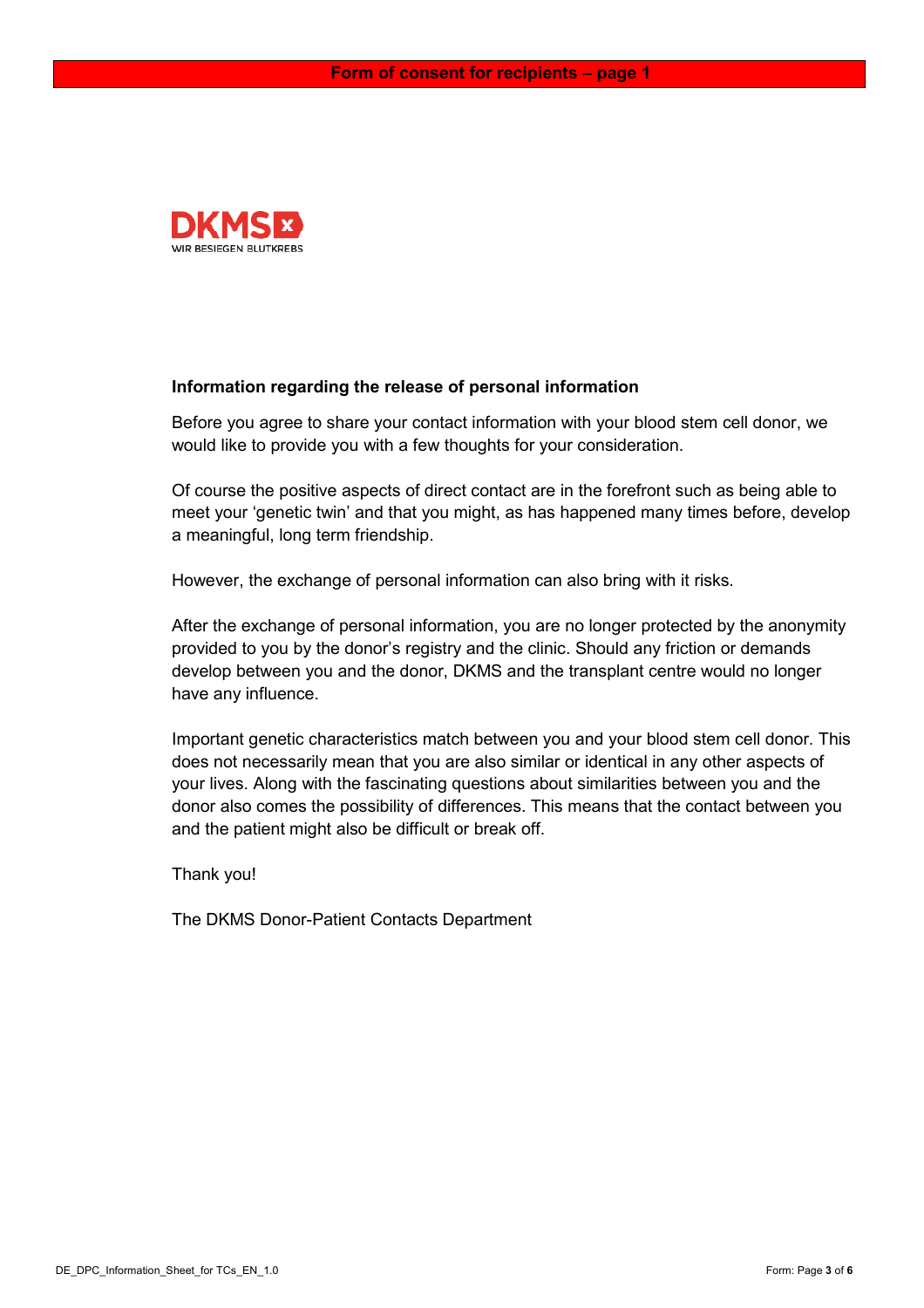

### **Information regarding the release of personal information**

Before you agree to share your contact information with your blood stem cell donor, we would like to provide you with a few thoughts for your consideration.

Of course the positive aspects of direct contact are in the forefront such as being able to meet your 'genetic twin' and that you might, as has happened many times before, develop a meaningful, long term friendship.

However, the exchange of personal information can also bring with it risks.

After the exchange of personal information, you are no longer protected by the anonymity provided to you by the donor's registry and the clinic. Should any friction or demands develop between you and the donor, DKMS and the transplant centre would no longer have any influence.

Important genetic characteristics match between you and your blood stem cell donor. This does not necessarily mean that you are also similar or identical in any other aspects of your lives. Along with the fascinating questions about similarities between you and the donor also comes the possibility of differences. This means that the contact between you and the patient might also be difficult or break off.

Thank you!

The DKMS Donor-Patient Contacts Department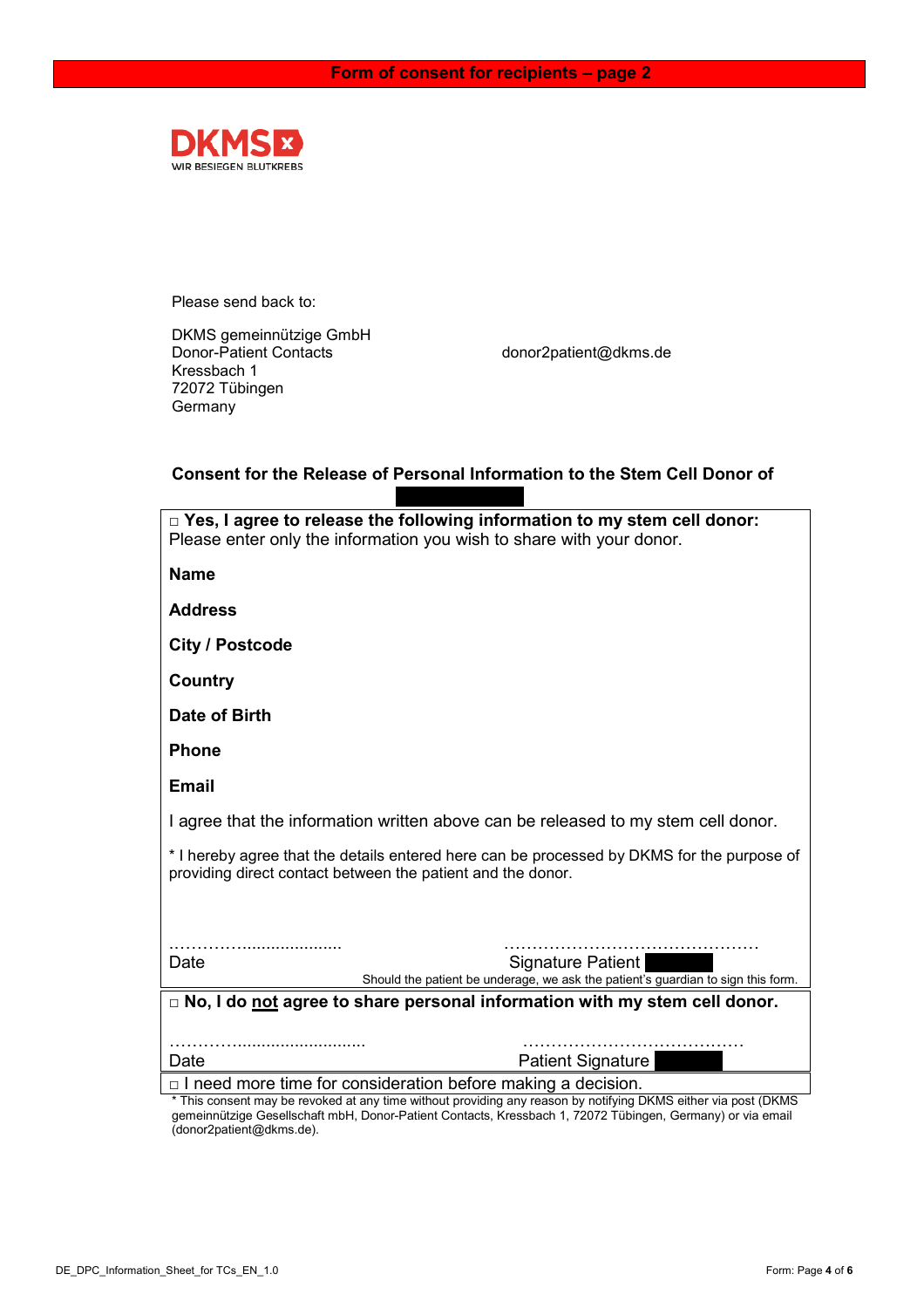

Please send back to:

DKMS gemeinnützige GmbH<br>Donor-Patient Contacts Kressbach 1 72072 Tübingen Germany

donor2patient@dkms.de

## **Consent for the Release of Personal Information to the Stem Cell Donor of**

| $\Box$ Yes, I agree to release the following information to my stem cell donor:                                                                                                   |  |  |  |  |  |  |
|-----------------------------------------------------------------------------------------------------------------------------------------------------------------------------------|--|--|--|--|--|--|
| Please enter only the information you wish to share with your donor.                                                                                                              |  |  |  |  |  |  |
| <b>Name</b>                                                                                                                                                                       |  |  |  |  |  |  |
| <b>Address</b>                                                                                                                                                                    |  |  |  |  |  |  |
| <b>City / Postcode</b>                                                                                                                                                            |  |  |  |  |  |  |
| <b>Country</b>                                                                                                                                                                    |  |  |  |  |  |  |
| Date of Birth                                                                                                                                                                     |  |  |  |  |  |  |
| <b>Phone</b>                                                                                                                                                                      |  |  |  |  |  |  |
| <b>Email</b>                                                                                                                                                                      |  |  |  |  |  |  |
| I agree that the information written above can be released to my stem cell donor.                                                                                                 |  |  |  |  |  |  |
| * I hereby agree that the details entered here can be processed by DKMS for the purpose of<br>providing direct contact between the patient and the donor.                         |  |  |  |  |  |  |
|                                                                                                                                                                                   |  |  |  |  |  |  |
|                                                                                                                                                                                   |  |  |  |  |  |  |
| Signature Patient<br>Date<br>Should the patient be underage, we ask the patient's guardian to sign this form.                                                                     |  |  |  |  |  |  |
| $\Box$ No, I do not agree to share personal information with my stem cell donor.                                                                                                  |  |  |  |  |  |  |
|                                                                                                                                                                                   |  |  |  |  |  |  |
| <b>Patient Signature</b><br>Date                                                                                                                                                  |  |  |  |  |  |  |
|                                                                                                                                                                                   |  |  |  |  |  |  |
| * This consent may be revoked at any time without providing any reason by notifying DKMS either via post (DKMS                                                                    |  |  |  |  |  |  |
| $\Box$ I need more time for consideration before making a decision.<br>gemeinnützige Gesellschaft mbH, Donor-Patient Contacts, Kressbach 1, 72072 Tübingen, Germany) or via email |  |  |  |  |  |  |

(donor2patient@dkms.de).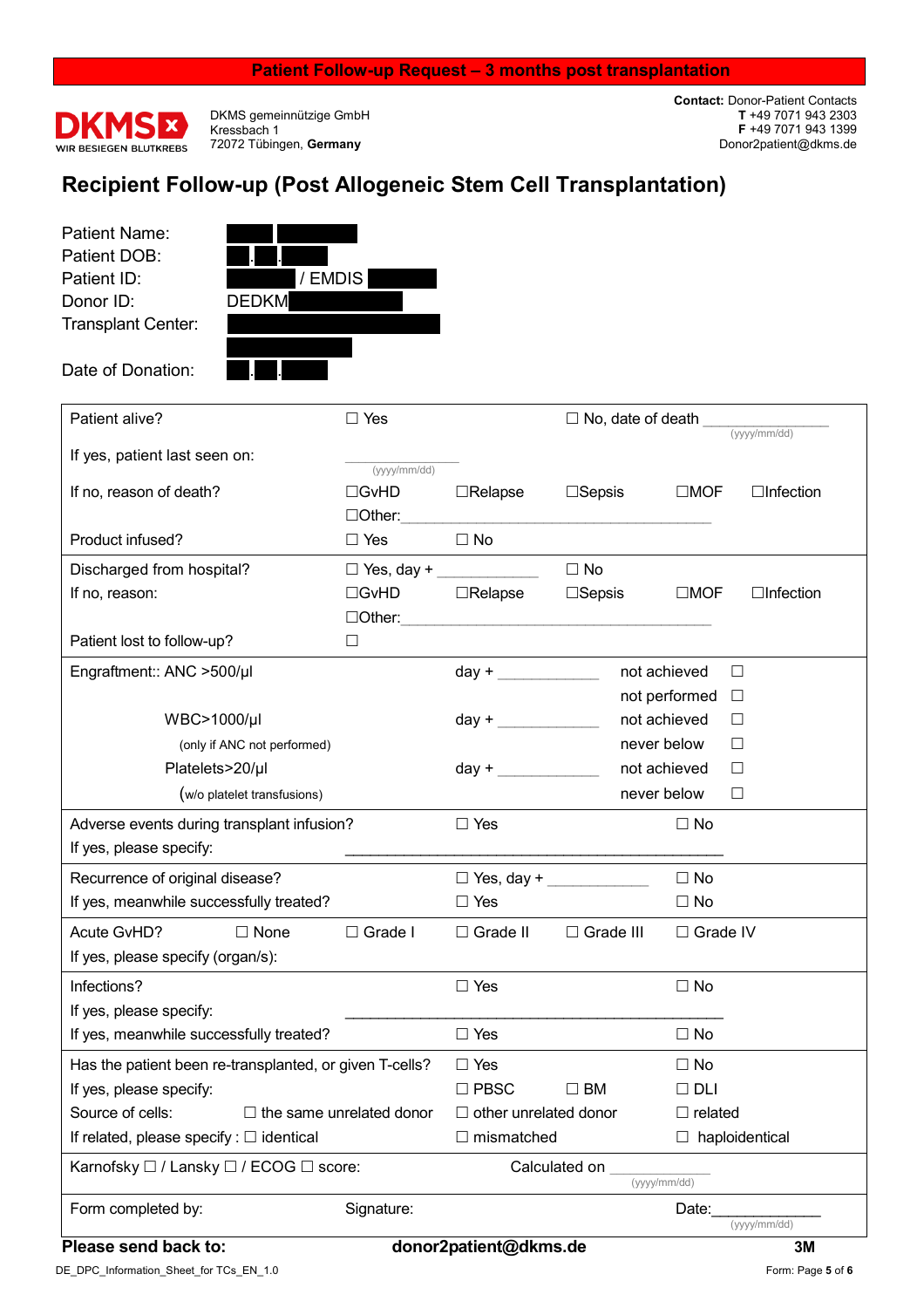#### **Patient Follow-up Request – 3 months post transplantation**



DKMS gemeinnützige GmbH Kressbach 1 72072 Tübingen, **Germany** 

**Contact:** Donor-Patient Contacts **T** +49 7071 943 2303 **F** +49 7071 943 1399 Donor2patient@dkms.de

## **Recipient Follow-up (Post Allogeneic Stem Cell Transplantation)**

Patient Name: Patient DOB: Donor ID: DEDKM Transplant Center:

Date of Donation:



Patient alive?  $\Box$  Yes  $\Box$  Yes  $\Box$  No, date of death (yyyy/mm/dd) If yes, patient last seen on: (yyyy/mm/dd) If no, reason of death? GvHD Relapse Sepsis MOF Infection  $\Box$  Other:  $\Box$  Other:  $\Box$ Product infused?  $\Box$  Yes  $\Box$  No Discharged from hospital?  $\Box$  Yes, day +  $\Box$  No If no, reason: The Section Control of the Control of The Control of The Control of The Control of The Control o  $\Box$  Other:  $\Box$  Other:  $\Box$ Patient lost to follow-up? □ Engraftment:: ANC >500/µl day +  $\qquad$  not achieved  $\Box$ not performed  $\Box$  $WBC > 1000/\mu$  day + \_\_\_\_\_\_\_\_\_\_\_\_\_ not achieved  $\Box$ (only if ANC not performed)  $\Box$ Platelets>20/µl day + \_\_\_\_\_\_\_\_\_ not achieved □ (w/o platelet transfusions) and the set of the set of the set of the set of the platelet transfusions) and the set of the set of the set of the set of the set of the set of the set of the set of the set of the set of the Adverse events during transplant infusion?  $\square$  Yes  $\square$  No  $\square$  No If yes, please specify: Recurrence of original disease?  $\Box$  Yes, day +  $\Box$  No If yes, meanwhile successfully treated?  $\Box$  Yes  $\Box$  No Acute GvHD? 
□ None □ Grade I □ Grade II □ Grade II □ Grade IV If yes, please specify (organ/s): Infections?  $\Box$  Yes  $\Box$  No If yes, please specify: If yes, meanwhile successfully treated?  $\Box$  Yes  $\Box$  No Has the patient been re-transplanted, or given T-cells?  $\Box$  Yes  $\Box$  No If yes, please specify:  $\Box$  PBSC  $\Box$  BM  $\Box$  DLI Source of cells:  $\Box$  the same unrelated donor  $\Box$  other unrelated donor  $\Box$  related If related, please specify :  $\Box$  identical  $\Box$  mismatched  $\Box$  haploidentical Karnofsky  $\Box$  / Lansky  $\Box$  / ECOG  $\Box$  score:  $\Box$  Calculated on (yyyy/mm/dd)

Form completed by: Signature: Signature: Date: Date: (yyyy/mm/dd)